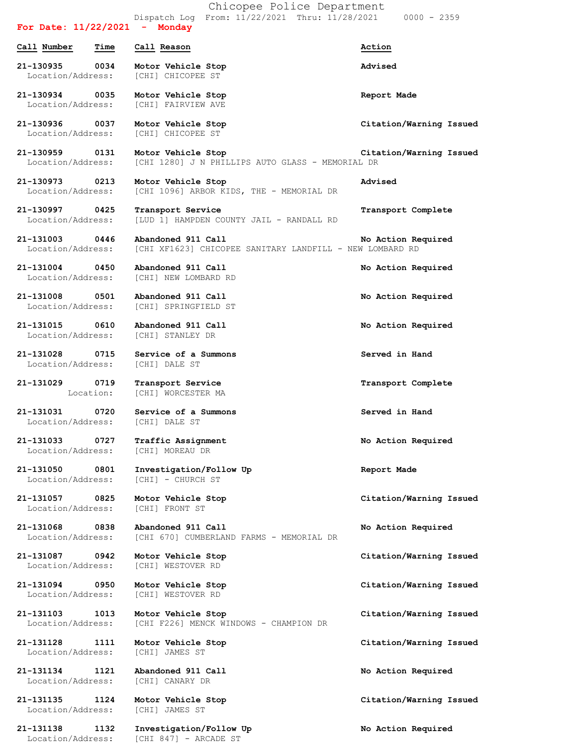Dispatch Log From: 11/22/2021 Thru: 11/28/2021 0000 - 2359 **For Date: 11/22/2021 - Monday Call Number Time Call Reason Action 21-130935 0034 Motor Vehicle Stop Advised** Location/Address: [CHI] CHICOPEE ST **21-130934 0035 Motor Vehicle Stop Report Made** Location/Address: [CHI] FAIRVIEW AVE **21-130936 0037 Motor Vehicle Stop Citation/Warning Issued** Location/Address: [CHI] CHICOPEE ST **21-130959 0131 Motor Vehicle Stop Citation/Warning Issued** Location/Address: [CHI 1280] J N PHILLIPS AUTO GLASS - MEMORIAL DR **21-130973 0213 Motor Vehicle Stop Advised** Location/Address: [CHI 1096] ARBOR KIDS, THE - MEMORIAL DR **21-130997 0425 Transport Service Transport Complete** Location/Address: [LUD 1] HAMPDEN COUNTY JAIL - RANDALL RD **21-131003 0446 Abandoned 911 Call No Action Required** Location/Address: [CHI XF1623] CHICOPEE SANITARY LANDFILL - NEW LOMBARD RD **21-131004 0450 Abandoned 911 Call No Action Required** Location/Address: [CHI] NEW LOMBARD RD **21-131008 0501 Abandoned 911 Call No Action Required** Location/Address: [CHI] SPRINGFIELD ST **21-131015 0610 Abandoned 911 Call No Action Required** Location/Address: [CHI] STANLEY DR **21-131028 0715 Service of a Summons Served in Hand** Location/Address: [CHI] DALE ST **21-131029 0719 Transport Service Transport Complete** Location: [CHI] WORCESTER MA **21-131031 0720 Service of a Summons Served in Hand** Location/Address: [CHI] DALE ST **21-131033 0727 Traffic Assignment No Action Required** Location/Address: [CHI] MOREAU DR **21-131050 0801 Investigation/Follow Up Report Made** Location/Address: [CHI] - CHURCH ST **21-131057 0825 Motor Vehicle Stop Citation/Warning Issued** Location/Address: [CHI] FRONT ST **21-131068 0838 Abandoned 911 Call No Action Required** Location/Address: [CHI 670] CUMBERLAND FARMS - MEMORIAL DR **21-131087 0942 Motor Vehicle Stop Citation/Warning Issued** Location/Address: [CHI] WESTOVER RD **21-131094 0950 Motor Vehicle Stop Citation/Warning Issued** Location/Address: [CHI] WESTOVER RD **21-131103 1013 Motor Vehicle Stop Citation/Warning Issued** Location/Address: [CHI F226] MENCK WINDOWS - CHAMPION DR **21-131128 1111 Motor Vehicle Stop Citation/Warning Issued** Location/Address: [CHI] JAMES ST **21-131134 1121 Abandoned 911 Call No Action Required** Location/Address: [CHI] CANARY DR **21-131135 1124 Motor Vehicle Stop Citation/Warning Issued** Location/Address: [CHI] JAMES ST **21-131138 1132 Investigation/Follow Up No Action Required**

Location/Address: [CHI 847] - ARCADE ST

Chicopee Police Department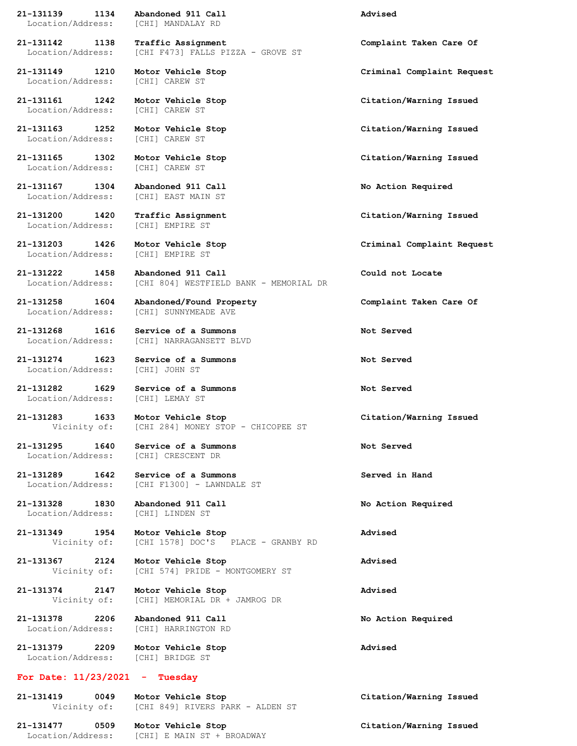**21-131139 1134 Abandoned 911 Call Advised** Location/Address: [CHI] MANDALAY RD

Location/Address: [CHI] CAREW ST

Location/Address: [CHI] CAREW ST

Location/Address: [CHI] CAREW ST

**21-131165 1302 Motor Vehicle Stop Citation/Warning Issued** Location/Address: [CHI] CAREW ST

**21-131167 1304 Abandoned 911 Call No Action Required**

Location/Address: [CHI] EMPIRE ST

**21-131268 1616 Service of a Summons Not Served**

**21-131274 1623 Service of a Summons Not Served** Location/Address: [CHI] JOHN ST

Location/Address: [CHI] LEMAY ST

**21-131295 1640 Service of a Summons Not Served**

**21-131328 1830 Abandoned 911 Call No Action Required** Location/Address: [CHI] LINDEN ST

## **For Date: 11/23/2021 - Tuesday**

**21-131419 0049 Motor Vehicle Stop Citation/Warning Issued** Vicinity of: [CHI 849] RIVERS PARK - ALDEN ST

**21-131477 0509 Motor Vehicle Stop Citation/Warning Issued** Location/Address: [CHI] E MAIN ST + BROADWAY

**21-131142 1138 Traffic Assignment Complaint Taken Care Of** Location/Address: [CHI F473] FALLS PIZZA - GROVE ST

Location/Address: [CHI] EAST MAIN ST

Location/Address: [CHI] EMPIRE ST

**21-131203 1426 Motor Vehicle Stop Criminal Complaint Request**

**21-131222 1458 Abandoned 911 Call Could not Locate** Location/Address: [CHI 804] WESTFIELD BANK - MEMORIAL DR

**21-131258 1604 Abandoned/Found Property Complaint Taken Care Of** Location/Address: [CHI] SUNNYMEADE AVE

Location/Address: [CHI] NARRAGANSETT BLVD

**21-131282 1629 Service of a Summons Not Served**

**21-131283 1633 Motor Vehicle Stop Citation/Warning Issued** [CHI 284] MONEY STOP - CHICOPEE ST

Location/Address: [CHI] CRESCENT DR

**21-131289 1642 Service of a Summons Served in Hand** Location/Address: [CHI F1300] - LAWNDALE ST

**21-131349 1954 Motor Vehicle Stop Advised** Vicinity of: [CHI 1578] DOC'S PLACE - GRANBY RD

**21-131367 2124 Motor Vehicle Stop Advised** Vicinity of: [CHI 574] PRIDE - MONTGOMERY ST

**21-131374 2147 Motor Vehicle Stop Advised** Vicinity of: [CHI] MEMORIAL DR + JAMROG DR

**21-131378 2206 Abandoned 911 Call No Action Required** Location/Address: [CHI] HARRINGTON RD

**21-131379 2209 Motor Vehicle Stop Advised** Location/Address: [CHI] BRIDGE ST

**21-131149 1210 Motor Vehicle Stop Criminal Complaint Request**

**21-131161 1242 Motor Vehicle Stop Citation/Warning Issued**

**21-131163 1252 Motor Vehicle Stop Citation/Warning Issued**

**21-131200 1420 Traffic Assignment Citation/Warning Issued**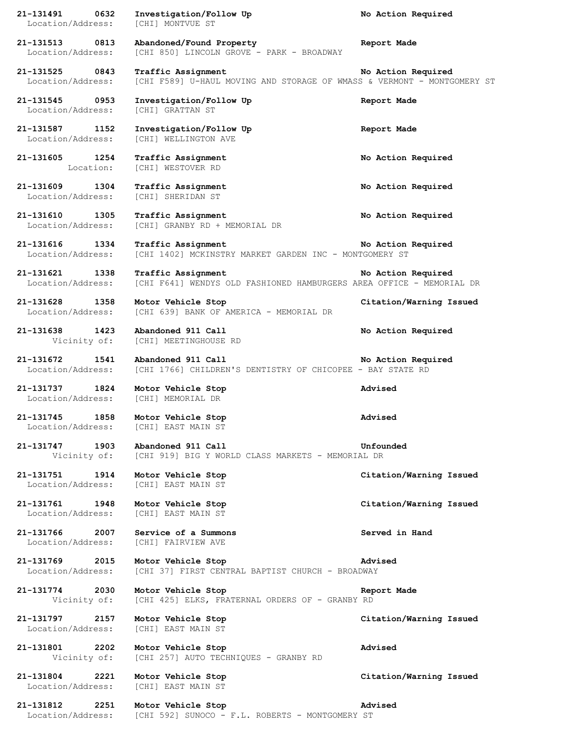**21-131491 0632 Investigation/Follow Up No Action Required** Location/Address: [CHI] MONTVUE ST **21-131513 0813 Abandoned/Found Property Report Made** Location/Address: [CHI 850] LINCOLN GROVE - PARK - BROADWAY **21-131525 0843 Traffic Assignment No Action Required** Location/Address: [CHI F589] U-HAUL MOVING AND STORAGE OF WMASS & VERMONT - MONTGOMERY ST **21-131545 0953 Investigation/Follow Up Report Made** Location/Address: [CHI] GRATTAN ST **21-131587 1152 Investigation/Follow Up Report Made** Location/Address: [CHI] WELLINGTON AVE **21-131605 1254 Traffic Assignment No Action Required** Location: [CHI] WESTOVER RD **21-131609 1304 Traffic Assignment No Action Required** Location/Address: [CHI] SHERIDAN ST **21-131610 1305 Traffic Assignment No Action Required** Location/Address: [CHI] GRANBY RD + MEMORIAL DR **21-131616 1334 Traffic Assignment No Action Required** Location/Address: [CHI 1402] MCKINSTRY MARKET GARDEN INC - MONTGOMERY ST **21-131621 1338 Traffic Assignment No Action Required** Location/Address: [CHI F641] WENDYS OLD FASHIONED HAMBURGERS AREA OFFICE - MEMORIAL DR **21-131628 1358 Motor Vehicle Stop Citation/Warning Issued** Location/Address: [CHI 639] BANK OF AMERICA - MEMORIAL DR **21-131638 1423 Abandoned 911 Call No Action Required** Vicinity of: [CHI] MEETINGHOUSE RD **21-131672 1541 Abandoned 911 Call No Action Required** Location/Address: [CHI 1766] CHILDREN'S DENTISTRY OF CHICOPEE - BAY STATE RD **21-131737 1824 Motor Vehicle Stop Advised** Location/Address: [CHI] MEMORIAL DR **21-131745 1858 Motor Vehicle Stop Advised** Location/Address: [CHI] EAST MAIN ST **21-131747 1903 Abandoned 911 Call Unfounded** Vicinity of: [CHI 919] BIG Y WORLD CLASS MARKETS - MEMORIAL DR **21-131751 1914 Motor Vehicle Stop Citation/Warning Issued** Location/Address: [CHI] EAST MAIN ST **21-131761 1948 Motor Vehicle Stop Citation/Warning Issued** Location/Address: [CHI] EAST MAIN ST **21-131766 2007 Service of a Summons Served in Hand** Location/Address: [CHI] FAIRVIEW AVE **21-131769 2015 Motor Vehicle Stop Advised** Location/Address: [CHI 37] FIRST CENTRAL BAPTIST CHURCH - BROADWAY **21-131774 2030 Motor Vehicle Stop Report Made** Vicinity of: [CHI 425] ELKS, FRATERNAL ORDERS OF - GRANBY RD **21-131797 2157 Motor Vehicle Stop Citation/Warning Issued** Location/Address: [CHI] EAST MAIN ST **21-131801 2202 Motor Vehicle Stop Advised** Vicinity of: [CHI 257] AUTO TECHNIQUES - GRANBY RD **21-131804 2221 Motor Vehicle Stop Citation/Warning Issued** Location/Address: [CHI] EAST MAIN ST **21-131812 2251 Motor Vehicle Stop Advised** Location/Address: [CHI 592] SUNOCO - F.L. ROBERTS - MONTGOMERY ST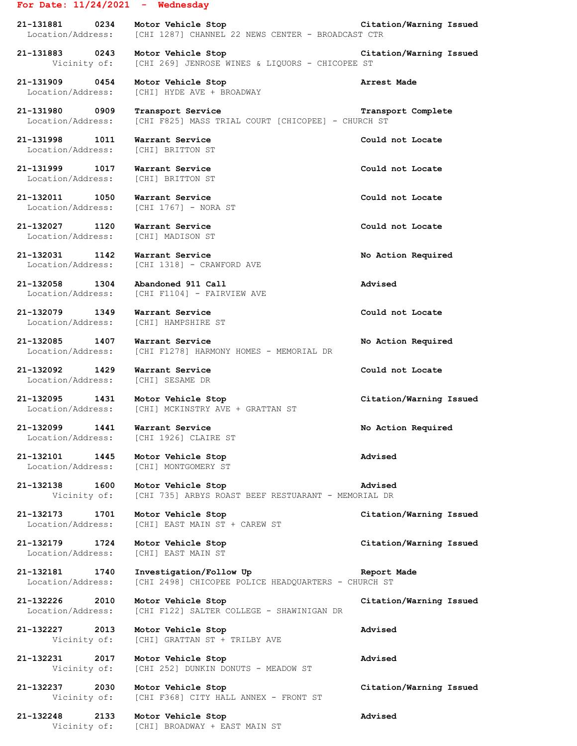## **For Date: 11/24/2021 - Wednesday**

**21-131881 0234 Motor Vehicle Stop Citation/Warning Issued** Location/Address: [CHI 1287] CHANNEL 22 NEWS CENTER - BROADCAST CTR

**21-131883 0243 Motor Vehicle Stop Citation/Warning Issued** Vicinity of: [CHI 269] JENROSE WINES & LIQUORS - CHICOPEE ST

**21-131909 0454 Motor Vehicle Stop Arrest Made** Location/Address: [CHI] HYDE AVE + BROADWAY

**21-131980 0909 Transport Service Transport Complete** Location/Address: [CHI F825] MASS TRIAL COURT [CHICOPEE] - CHURCH ST

**21-131998 1011 Warrant Service Could not Locate** Location/Address: [CHI] BRITTON ST

**21-131999 1017 Warrant Service Could not Locate** Location/Address: [CHI] BRITTON ST

**21-132011 1050 Warrant Service Could not Locate** Location/Address: [CHI 1767] - NORA ST

**21-132027 1120 Warrant Service Could not Locate** Location/Address: [CHI] MADISON ST

**21-132031 1142 Warrant Service No Action Required**

Location/Address: [CHI 1318] - CRAWFORD AVE

**21-132058 1304 Abandoned 911 Call Advised** Location/Address: [CHI F1104] - FAIRVIEW AVE

**21-132079 1349 Warrant Service Could not Locate** Location/Address: [CHI] HAMPSHIRE ST

**21-132085 1407 Warrant Service No Action Required** Location/Address: [CHI F1278] HARMONY HOMES - MEMORIAL DR

Location/Address: [CHI] SESAME DR

**21-132095 1431 Motor Vehicle Stop Citation/Warning Issued** Location/Address: [CHI] MCKINSTRY AVE + GRATTAN ST

**21-132099 1441 Warrant Service No Action Required** Location/Address: [CHI 1926] CLAIRE ST

**21-132101 1445 Motor Vehicle Stop Advised** Location/Address: [CHI] MONTGOMERY ST

**21-132138 1600 Motor Vehicle Stop Advised**

Location/Address: [CHI] EAST MAIN ST + CAREW ST

**21-132179 1724 Motor Vehicle Stop Citation/Warning Issued** Location/Address: [CHI] EAST MAIN ST

**21-132226 2010 Motor Vehicle Stop Citation/Warning Issued** Location/Address: [CHI F122] SALTER COLLEGE - SHAWINIGAN DR

**21-132227 2013 Motor Vehicle Stop Advised**

 Vicinity of: [CHI] GRATTAN ST + TRILBY AVE **21-132231 2017 Motor Vehicle Stop Advised**

Vicinity of: [CHI 252] DUNKIN DONUTS - MEADOW ST

Vicinity of: [CHI F368] CITY HALL ANNEX - FRONT ST

**21-132248 2133 Motor Vehicle Stop Advised** Vicinity of: [CHI] BROADWAY + EAST MAIN ST

**21-132092 1429 Warrant Service Could not Locate**

 Vicinity of: [CHI 735] ARBYS ROAST BEEF RESTUARANT - MEMORIAL DR **21-132173 1701 Motor Vehicle Stop Citation/Warning Issued**

**21-132181 1740 Investigation/Follow Up Report Made** Location/Address: [CHI 2498] CHICOPEE POLICE HEADQUARTERS - CHURCH ST

**21-132237 2030 Motor Vehicle Stop Citation/Warning Issued**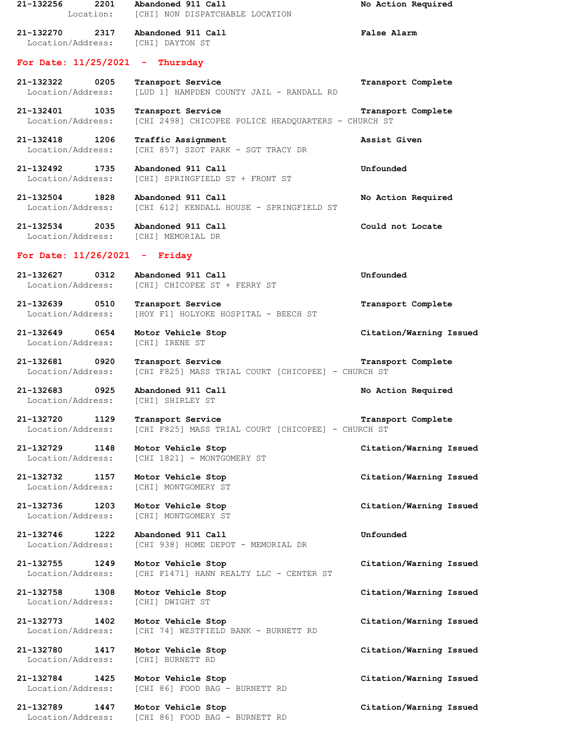**21-132256 2201 Abandoned 911 Call No Action Required** Location: [CHI] NON DISPATCHABLE LOCATION **21-132270 2317 Abandoned 911 Call False Alarm** Location/Address: [CHI] DAYTON ST **For Date: 11/25/2021 - Thursday 21-132322 0205 Transport Service Transport Complete** Location/Address: [LUD 1] HAMPDEN COUNTY JAIL - RANDALL RD **21-132401 1035 Transport Service Transport Complete** Location/Address: [CHI 2498] CHICOPEE POLICE HEADQUARTERS - CHURCH ST **21-132418 1206 Traffic Assignment Assist Given** Location/Address: [CHI 857] SZOT PARK - SGT TRACY DR **21-132492 1735 Abandoned 911 Call Unfounded** Location/Address: [CHI] SPRINGFIELD ST + FRONT ST **21-132504 1828 Abandoned 911 Call No Action Required** Location/Address: [CHI 612] KENDALL HOUSE - SPRINGFIELD ST **21-132534 2035 Abandoned 911 Call Could not Locate** Location/Address: [CHI] MEMORIAL DR **For Date: 11/26/2021 - Friday 21-132627 0312 Abandoned 911 Call Unfounded** Location/Address: [CHI] CHICOPEE ST + FERRY ST **21-132639 0510 Transport Service Transport Complete** Location/Address: [HOY F1] HOLYOKE HOSPITAL - BEECH ST **21-132649 0654 Motor Vehicle Stop Citation/Warning Issued** Location/Address: [CHI] IRENE ST **21-132681 0920 Transport Service Transport Complete** Location/Address: [CHI F825] MASS TRIAL COURT [CHICOPEE] - CHURCH ST **21-132683 0925 Abandoned 911 Call No Action Required** Location/Address: [CHI] SHIRLEY ST **21-132720 1129 Transport Service Transport Complete** Location/Address: [CHI F825] MASS TRIAL COURT [CHICOPEE] - CHURCH ST **21-132729 1148 Motor Vehicle Stop Citation/Warning Issued** Location/Address: [CHI 1821] - MONTGOMERY ST **21-132732 1157 Motor Vehicle Stop Citation/Warning Issued** Location/Address: [CHI] MONTGOMERY ST **21-132736 1203 Motor Vehicle Stop Citation/Warning Issued** Location/Address: [CHI] MONTGOMERY ST **21-132746 1222 Abandoned 911 Call Unfounded** Location/Address: [CHI 938] HOME DEPOT - MEMORIAL DR **21-132755 1249 Motor Vehicle Stop Citation/Warning Issued** Location/Address: [CHI F1471] HANN REALTY LLC - CENTER ST **21-132758 1308 Motor Vehicle Stop Citation/Warning Issued** Location/Address: [CHI] DWIGHT ST **21-132773 1402 Motor Vehicle Stop Citation/Warning Issued** Location/Address: [CHI 74] WESTFIELD BANK - BURNETT RD **21-132780 1417 Motor Vehicle Stop Citation/Warning Issued** Location/Address: [CHI] BURNETT RD **21-132784 1425 Motor Vehicle Stop Citation/Warning Issued** Location/Address: [CHI 86] FOOD BAG - BURNETT RD **21-132789 1447 Motor Vehicle Stop Citation/Warning Issued** Location/Address: [CHI 86] FOOD BAG - BURNETT RD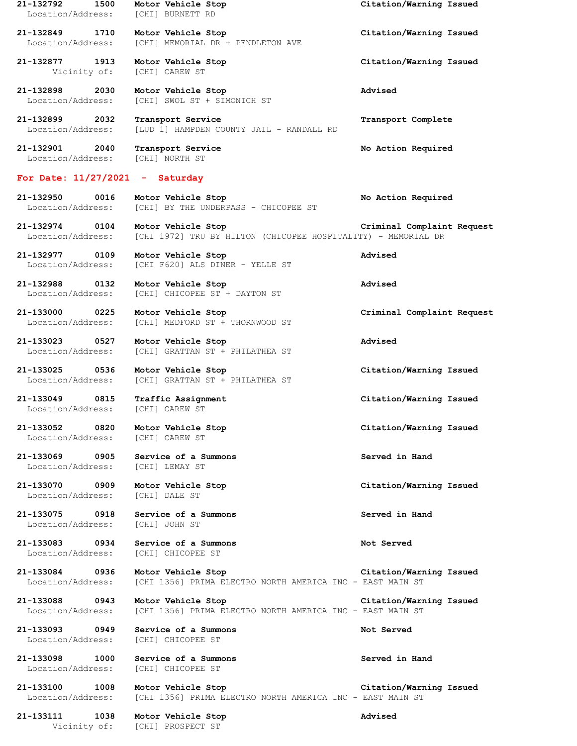**21-132792 1500 Motor Vehicle Stop Citation/Warning Issued** Location/Address: [CHI] BURNETT RD **21-132849 1710 Motor Vehicle Stop Citation/Warning Issued** Location/Address: [CHI] MEMORIAL DR + PENDLETON AVE **21-132877 1913 Motor Vehicle Stop Citation/Warning Issued** Vicinity of: [CHI] CAREW ST **21-132898 2030 Motor Vehicle Stop Advised** Location/Address: [CHI] SWOL ST + SIMONICH ST **21-132899 2032 Transport Service Transport Complete** Location/Address: [LUD 1] HAMPDEN COUNTY JAIL - RANDALL RD **21-132901 2040 Transport Service No Action Required** Location/Address: [CHI] NORTH ST **For Date: 11/27/2021 - Saturday 21-132950 0016 Motor Vehicle Stop No Action Required** Location/Address: [CHI] BY THE UNDERPASS - CHICOPEE ST **21-132974 0104 Motor Vehicle Stop Criminal Complaint Request** Location/Address: [CHI 1972] TRU BY HILTON (CHICOPEE HOSPITALITY) - MEMORIAL DR **21-132977 0109 Motor Vehicle Stop Advised** Location/Address: [CHI F620] ALS DINER - YELLE ST **21-132988 0132 Motor Vehicle Stop Advised** Location/Address: [CHI] CHICOPEE ST + DAYTON ST **21-133000 0225 Motor Vehicle Stop Criminal Complaint Request** Location/Address: [CHI] MEDFORD ST + THORNWOOD ST **21-133023 0527 Motor Vehicle Stop Advised** Location/Address: [CHI] GRATTAN ST + PHILATHEA ST **21-133025 0536 Motor Vehicle Stop Citation/Warning Issued** Location/Address: [CHI] GRATTAN ST + PHILATHEA ST **21-133049 0815 Traffic Assignment Citation/Warning Issued** Location/Address: [CHI] CAREW ST **21-133052 0820 Motor Vehicle Stop Citation/Warning Issued** Location/Address: [CHI] CAREW ST **21-133069 0905 Service of a Summons Served in Hand** Location/Address: [CHI] LEMAY ST **21-133070 0909 Motor Vehicle Stop Citation/Warning Issued** Location/Address: [CHI] DALE ST **21-133075 0918 Service of a Summons Served in Hand** Location/Address: [CHI] JOHN ST **21-133083 0934 Service of a Summons Not Served** Location/Address: [CHI] CHICOPEE ST **21-133084 0936 Motor Vehicle Stop Citation/Warning Issued** Location/Address: [CHI 1356] PRIMA ELECTRO NORTH AMERICA INC - EAST MAIN ST **21-133088 0943 Motor Vehicle Stop Citation/Warning Issued** Location/Address: [CHI 1356] PRIMA ELECTRO NORTH AMERICA INC - EAST MAIN ST **21-133093 0949 Service of a Summons Not Served** Location/Address: [CHI] CHICOPEE ST **21-133098 1000 Service of a Summons Served in Hand** Location/Address: [CHI] CHICOPEE ST **21-133100 1008 Motor Vehicle Stop Citation/Warning Issued** Location/Address: [CHI 1356] PRIMA ELECTRO NORTH AMERICA INC - EAST MAIN ST **21-133111 1038 Motor Vehicle Stop Advised** Vicinity of: [CHI] PROSPECT ST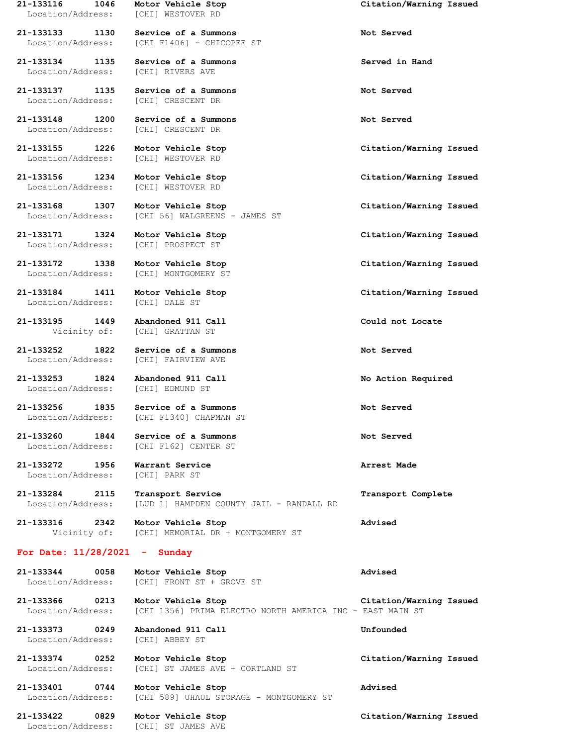Location/Address: [CHI] WESTOVER RD

**21-133134 1135 Service of a Summons Served in Hand** Location/Address: [CHI] RIVERS AVE

**21-133137 1135 Service of a Summons Not Served** Location/Address: [CHI] CRESCENT DR

**21-133148 1200 Service of a Summons Not Served**

Location/Address: [CHI] WESTOVER RD

Location/Address: [CHI] WESTOVER RD

**21-133171 1324 Motor Vehicle Stop Citation/Warning Issued**

**21-133172 1338 Motor Vehicle Stop Citation/Warning Issued**

Location/Address: [CHI] DALE ST

**21-133195 1449 Abandoned 911 Call Could not Locate**

**21-133252 1822 Service of a Summons Not Served** Location/Address: [CHI] FAIRVIEW AVE

**21-133253 1824 Abandoned 911 Call No Action Required** Location/Address:

**21-133272 1956 Warrant Service Arrest Made** Location/Address: [CHI] PARK ST

**21-133116 1046 Motor Vehicle Stop Citation/Warning Issued**

**21-133133 1130 Service of a Summons Not Served** Location/Address: [CHI F1406] - CHICOPEE ST

Location/Address: [CHI] CRESCENT DR

**21-133168 1307 Motor Vehicle Stop Citation/Warning Issued** Location/Address: [CHI 56] WALGREENS - JAMES ST

Location/Address: [CHI] PROSPECT ST

Location/Address: [CHI] MONTGOMERY ST

Vicinity of: [CHI] GRATTAN ST

**21-133256 1835 Service of a Summons Not Served** Location/Address: [CHI F1340] CHAPMAN ST

**21-133260 1844 Service of a Summons Not Served** [CHI F162] CENTER ST

**21-133284 2115 Transport Service Transport Complete** Location/Address: [LUD 1] HAMPDEN COUNTY JAIL - RANDALL RD

**21-133316 2342 Motor Vehicle Stop Advised** Vicinity of: [CHI] MEMORIAL DR + MONTGOMERY ST

## **For Date: 11/28/2021 - Sunday**

**21-133344 0058 Motor Vehicle Stop Advised** Location/Address: [CHI] FRONT ST + GROVE ST

**21-133366 0213 Motor Vehicle Stop Citation/Warning Issued** Location/Address: [CHI 1356] PRIMA ELECTRO NORTH AMERICA INC - EAST MAIN ST

**21-133373 0249 Abandoned 911 Call Unfounded** Location/Address: [CHI] ABBEY ST

**21-133374 0252 Motor Vehicle Stop Citation/Warning Issued** Location/Address: [CHI] ST JAMES AVE + CORTLAND ST

**21-133401 0744 Motor Vehicle Stop Advised** Location/Address: [CHI 589] UHAUL STORAGE - MONTGOMERY ST

Location/Address: [CHI] ST JAMES AVE

**21-133155 1226 Motor Vehicle Stop Citation/Warning Issued**

**21-133156 1234 Motor Vehicle Stop Citation/Warning Issued**

**21-133184 1411 Motor Vehicle Stop Citation/Warning Issued**

**21-133422 0829 Motor Vehicle Stop Citation/Warning Issued**